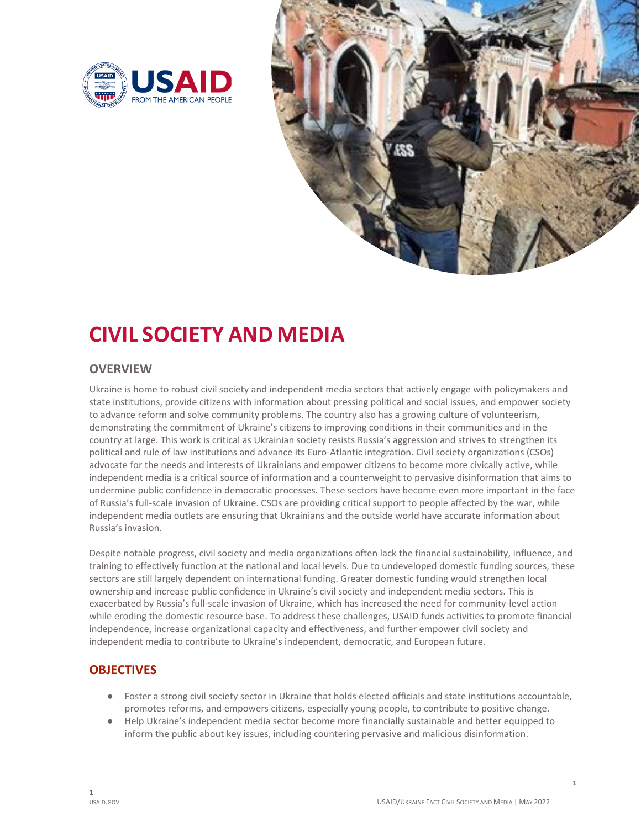



# **CIVIL SOCIETY AND MEDIA**

## **OVERVIEW**

 Ukraine is home to robust civil society and independent media sectors that actively engage with policymakers and state institutions, provide citizens with information about pressing political and social issues, and empower society to advance reform and solve community problems. The country also has a growing culture of volunteerism, demonstrating the commitment of Ukraine's citizens to improving conditions in their communities and in the country at large. This work is critical as Ukrainian society resists Russia's aggression and strives to strengthen its political and rule of law institutions and advance its Euro‐Atlantic integration. Civil society organizations (CSOs) advocate for the needs and interests of Ukrainians and empower citizens to become more civically active, while independent media is a critical source of information and a counterweight to pervasive disinformation that aims to undermine public confidence in democratic processes. These sectors have become even more important in the face of Russia's full‐scale invasion of Ukraine. CSOs are providing critical support to people affected by the war, while independent media outlets are ensuring that Ukrainians and the outside world have accurate information about Russia's invasion.

 Despite notable progress, civil society and media organizations often lack the financial sustainability, influence, and training to effectively function at the national and local levels. Due to undeveloped domestic funding sources, these sectors are still largely dependent on international funding. Greater domestic funding would strengthen local ownership and increase public confidence in Ukraine's civil society and independent media sectors. This is exacerbated by Russia's full‐scale invasion of Ukraine, which has increased the need for community‐level action while eroding the domestic resource base. To address these challenges, USAID funds activities to promote financial independence, increase organizational capacity and effectiveness, and further empower civil society and independent media to contribute to Ukraine's independent, democratic, and European future.

# **OBJECTIVES**

- Foster a strong civil society sector in Ukraine that holds elected officials and state institutions accountable, promotes reforms, and empowers citizens, especially young people, to contribute to positive change.
- Help Ukraine's independent media sector become more financially sustainable and better equipped to inform the public about key issues, including countering pervasive and malicious disinformation.